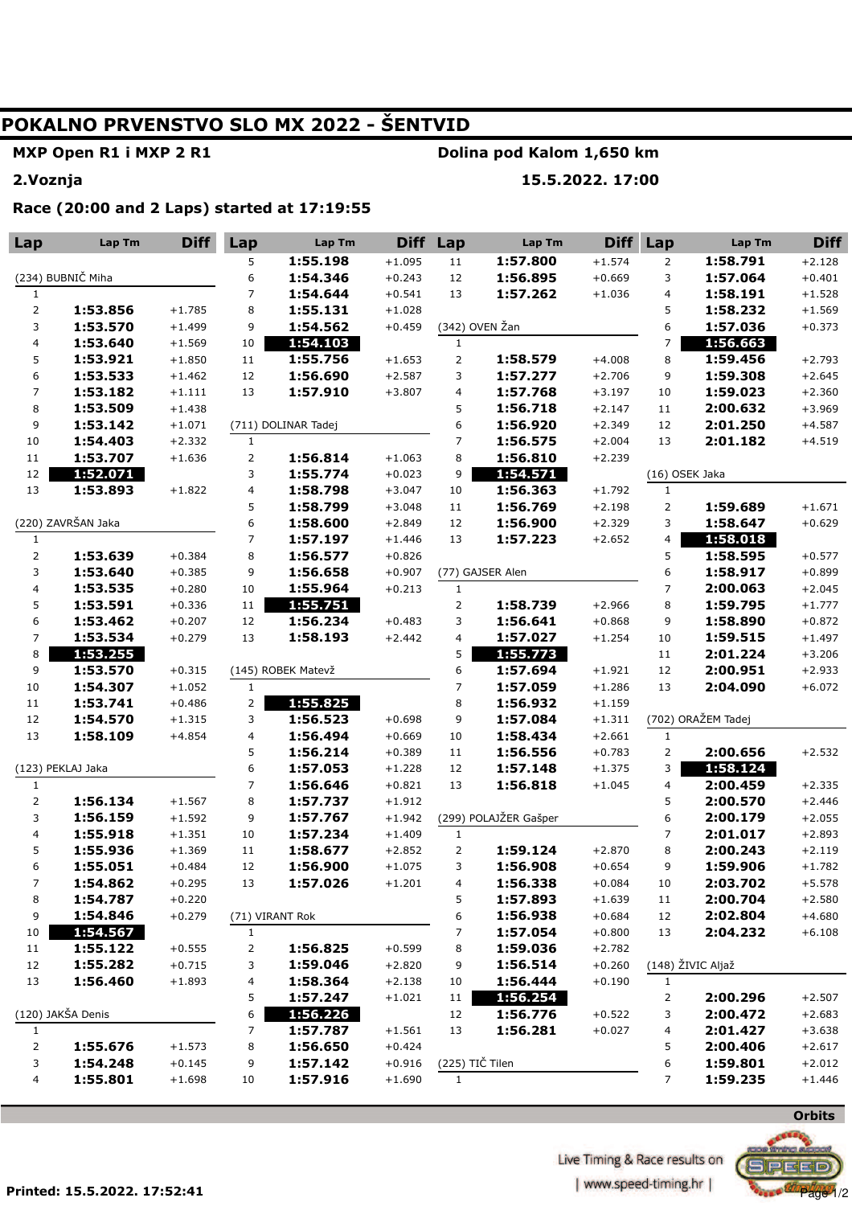## **POKALNO PRVENSTVO SLO MX 2022 - ŠENTVID**

**MXP Open R1 i MXP 2 R1** 

**Dolina pod Kalom 1,650 km** 

**2.Voznja** 

## **15.5.2022. 17:00**

**Race (20:00 and 2 Laps) started at 17:19:55** 

| Lap                      | <b>Lap Tm</b>      | <b>Diff</b>          | Lap            | Lap Tm               | <b>Diff</b>          | Lap             | Lap Tm                | <b>Diff</b> | Lap            | Lap Tm               | <b>Diff</b>          |
|--------------------------|--------------------|----------------------|----------------|----------------------|----------------------|-----------------|-----------------------|-------------|----------------|----------------------|----------------------|
|                          |                    |                      | 5              | 1:55.198             | $+1.095$             | 11              | 1:57.800              | $+1.574$    | 2              | 1:58.791             | $+2.128$             |
| (234) BUBNIČ Miha        |                    |                      | 6              | 1:54.346             | $+0.243$             | 12              | 1:56.895              | $+0.669$    | 3              | 1:57.064             | $+0.401$             |
| 1                        |                    |                      | $\overline{7}$ | 1:54.644             | $+0.541$             | 13              | 1:57.262              | $+1.036$    | 4              | 1:58.191             | $+1.528$             |
| $\mathsf{2}\,$           | 1:53.856           | $+1.785$             | 8              | 1:55.131             | $+1.028$             |                 |                       |             | 5              | 1:58.232             | $+1.569$             |
| 3                        | 1:53.570           | $+1.499$             | 9              | 1:54.562             | $+0.459$             |                 | (342) OVEN Žan        |             | 6              | 1:57.036             | $+0.373$             |
| $\overline{\mathbf{4}}$  | 1:53.640           | $+1.569$             | $10\,$         | 1:54.103             |                      | $\mathbf{1}$    |                       |             | 7              | 1:56.663             |                      |
| 5                        | 1:53.921           | $+1.850$             | 11             | 1:55.756             | $+1.653$             | $\mathsf{2}$    | 1:58.579              | $+4.008$    | 8              | 1:59.456             | $+2.793$             |
| 6                        | 1:53.533           | $+1.462$             | 12             | 1:56.690             | $+2.587$             | 3               | 1:57.277              | $+2.706$    | 9              | 1:59.308             | $+2.645$             |
| $\overline{\phantom{a}}$ | 1:53.182           | $+1.111$             | 13             | 1:57.910             | $+3.807$             | 4               | 1:57.768              | $+3.197$    | 10             | 1:59.023             | $+2.360$             |
| $\bf8$                   | 1:53.509           | $+1.438$             |                |                      |                      | 5               | 1:56.718              | $+2.147$    | 11             | 2:00.632             | $+3.969$             |
| 9                        | 1:53.142           | $+1.071$             |                | (711) DOLINAR Tadej  |                      | 6               | 1:56.920              | $+2.349$    | 12             | 2:01.250             | $+4.587$             |
| 10                       | 1:54.403           | $+2.332$             | $\mathbf{1}$   |                      |                      | $\overline{7}$  | 1:56.575              | $+2.004$    | 13             | 2:01.182             | $+4.519$             |
| $11\,$                   | 1:53.707           | $+1.636$             |                | 1:56.814             | $+1.063$             | 8               | 1:56.810              | $+2.239$    |                |                      |                      |
| 12                       | 1:52.071           |                      | 3              | 1:55.774             | $+0.023$             | 9               | 1:54.571              |             | (16) OSEK Jaka |                      |                      |
| 13                       | 1:53.893           | $+1.822$             | 4              | 1:58.798             | $+3.047$             | $10\,$          | 1:56.363              | $+1.792$    | $\mathbf{1}$   |                      |                      |
|                          |                    |                      | 5              | 1:58.799             | $+3.048$             | $11\,$          | 1:56.769              | $+2.198$    | $\overline{2}$ | 1:59.689             | $+1.671$             |
|                          | (220) ZAVRŠAN Jaka |                      | 6              | 1:58.600             | $+2.849$             | 12              | 1:56.900              | $+2.329$    | 3              | 1:58.647             | $+0.629$             |
| $\mathbf{1}$             |                    |                      | $\overline{7}$ | 1:57.197             | $+1.446$             | 13              | 1:57.223              | $+2.652$    | 4              | 1:58.018             |                      |
|                          | 1:53.639           | $+0.384$             | 8              | 1:56.577             | $+0.826$             |                 |                       |             | 5              | 1:58.595             | $+0.577$             |
| 3                        | 1:53.640           | $+0.385$             | 9              | 1:56.658             | $+0.907$             |                 | (77) GAJSER Alen      |             | 6              | 1:58.917             | $+0.899$             |
| $\overline{\mathbf{4}}$  | 1:53.535           | $+0.280$             | 10             | 1:55.964             | $+0.213$             | $1\,$           |                       |             | 7              | 2:00.063             | $+2.045$             |
| 5                        | 1:53.591           | $+0.336$             | 11             | 1:55.751             |                      | $\overline{2}$  | 1:58.739              | $+2.966$    | 8              | 1:59.795             | $+1.777$             |
| 6                        | 1:53.462           | $+0.207$             | 12             | 1:56.234             | $+0.483$             | 3               | 1:56.641              | $+0.868$    | 9              | 1:58.890             | $+0.872$             |
| $\overline{7}$           | 1:53.534           | $+0.279$             | 13             | 1:58.193             | $+2.442$             | 4               | 1:57.027              | $+1.254$    | 10             | 1:59.515             | $+1.497$             |
| 8                        | 1:53.255           |                      |                |                      |                      | 5               | 1:55.773              |             | 11             | 2:01.224             | $+3.206$             |
| 9                        | 1:53.570           | $+0.315$             |                | (145) ROBEK Matevž   |                      | 6               | 1:57.694              | $+1.921$    | 12             | 2:00.951             | $+2.933$             |
| 10                       | 1:54.307           | $+1.052$             | $\mathbf{1}$   |                      |                      | 7               | 1:57.059              | $+1.286$    | 13             | 2:04.090             | $+6.072$             |
| $11\,$                   | 1:53.741           | $+0.486$             | $\mathsf{2}$   | 1:55.825             |                      | 8               | 1:56.932              | $+1.159$    |                |                      |                      |
| 12                       | 1:54.570           | $+1.315$             | 3              | 1:56.523             | $+0.698$             | 9               | 1:57.084              | $+1.311$    |                | (702) ORAŽEM Tadej   |                      |
| 13                       | 1:58.109           | $+4.854$             | 4              | 1:56.494             | $+0.669$             | 10              | 1:58.434              | $+2.661$    | $\mathbf{1}$   |                      |                      |
|                          |                    |                      | 5              | 1:56.214             | $+0.389$             | $11\,$          | 1:56.556              | $+0.783$    | $\mathbf{2}$   | 2:00.656             | $+2.532$             |
| (123) PEKLAJ Jaka        |                    | 6<br>$\overline{7}$  | 1:57.053       | $+1.228$             | 12<br>13             | 1:57.148        | $+1.375$              | 3           | 1:58.124       |                      |                      |
| $\mathbf{1}$             | 1:56.134           |                      |                | 1:56.646             | $+0.821$             |                 | 1:56.818              | $+1.045$    | 4<br>5         | 2:00.459<br>2:00.570 | $+2.335$             |
| 3                        | 1:56.159           | $+1.567$<br>$+1.592$ | 8<br>9         | 1:57.737<br>1:57.767 | $+1.912$<br>$+1.942$ |                 | (299) POLAJŽER Gašper |             | 6              | 2:00.179             | $+2.446$<br>$+2.055$ |
| $\overline{\mathbf{4}}$  | 1:55.918           | $+1.351$             | $10\,$         | 1:57.234             | $+1.409$             | $\mathbf{1}$    |                       |             | 7              | 2:01.017             | $+2.893$             |
| 5                        | 1:55.936           | $+1.369$             | 11             | 1:58.677             | $+2.852$             | $\overline{2}$  | 1:59.124              | $+2.870$    | 8              | 2:00.243             | $+2.119$             |
| 6                        | 1:55.051           | $+0.484$             | 12             | 1:56.900             | $+1.075$             | 3               | 1:56.908              | $+0.654$    | 9              | 1:59.906             | $+1.782$             |
| $\overline{7}$           | 1:54.862           | $+0.295$             | 13             | 1:57.026             | $+1.201$             | 4               | 1:56.338              | $+0.084$    | 10             | 2:03.702             | $+5.578$             |
| 8                        | 1:54.787           | $+0.220$             |                |                      |                      | 5               | 1:57.893              | $+1.639$    | 11             | 2:00.704             | $+2.580$             |
| 9                        | 1:54.846           | $+0.279$             |                | (71) VIRANT Rok      |                      | 6               | 1:56.938              | $+0.684$    | 12             | 2:02.804             | $+4.680$             |
| $10\,$                   | 1:54.567           |                      | $1\,$          |                      |                      | 7               | 1:57.054              | $+0.800$    | 13             | 2:04.232             | $+6.108$             |
| 11                       | 1:55.122           | $+0.555$             | 2              | 1:56.825             | $+0.599$             | 8               | 1:59.036              | $+2.782$    |                |                      |                      |
| 12                       | 1:55.282           | $+0.715$             | 3              | 1:59.046             | $+2.820$             | 9               | 1:56.514              | $+0.260$    |                | (148) ŽIVIC Aljaž    |                      |
| 13                       | 1:56.460           | $+1.893$             | 4              | 1:58.364             | $+2.138$             | 10              | 1:56.444              | $+0.190$    | $\mathbf{1}$   |                      |                      |
|                          |                    |                      | 5              | 1:57.247             | $+1.021$             | $11\,$          | 1:56.254              |             | 2              | 2:00.296             | $+2.507$             |
|                          | (120) JAKŠA Denis  |                      | 6              | 1:56.226             |                      | 12              | 1:56.776              | $+0.522$    | 3              | 2:00.472             | $+2.683$             |
| $\mathbf{1}$             |                    |                      | $\overline{7}$ | 1:57.787             | $+1.561$             | 13              | 1:56.281              | $+0.027$    | 4              | 2:01.427             | $+3.638$             |
| 2                        | 1:55.676           | $+1.573$             | 8              | 1:56.650             | $+0.424$             |                 |                       |             | 5              | 2:00.406             | $+2.617$             |
| 3                        | 1:54.248           | $+0.145$             | 9              | 1:57.142             | $+0.916$             | (225) TIČ Tilen |                       |             | 6              | 1:59.801             | $+2.012$             |
| $\overline{\mathbf{4}}$  | 1:55.801           | $+1.698$             | 10             | 1:57.916             | $+1.690$             | $\mathbf{1}$    |                       |             | 7              | 1:59.235             | $+1.446$             |
|                          |                    |                      |                |                      |                      |                 |                       |             |                |                      |                      |



 $\bullet$   $\omega$   $Page$ <sup>1</sup>/2